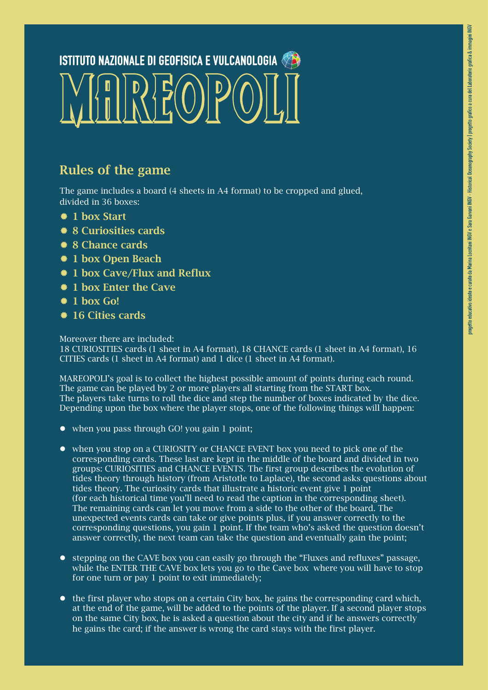## $\frac{1}{2}$   $\frac{1}{2}$   $\frac{1}{2}$   $\frac{1}{2}$   $\frac{1}{2}$   $\frac{1}{2}$   $\frac{1}{2}$   $\frac{1}{2}$ **ISTITUTO NAZIONALE DI GEOFISICA E VULCANOLOGIA**

## Rules of the game

The game includes a board (4 sheets in A4 format) to be cropped and glued, divided in 36 boxes:

- $\bullet$  **1 hox Start**
- *<u>● 8 Curiosities cards</u>*
- *☀* 8 Chance cards
- ® 1 box Open Beach
- <sup>\*</sup> 1 box Cave/Flux and Reflux
- <sup>\*</sup> 1 box Enter the Cave
- $\bullet$  1 hox Go!
- **16 Cities cards**

Moreover there are included: 18 CURIOSITIES cards (1 sheet in A4 format), 18 CHANCE cards (1 sheet in A4 format), 16 CITIES cards (1 sheet in A4 format) and 1 dice (1 sheet in A4 format).

MAREOPOLI's goal is to collect the highest possible amount of points during each round. The game can be played by 2 or more players all starting from the START box. The players take turns to roll the dice and step the number of boxes indicated by the dice. Depending upon the box where the player stops, one of the following things will happen:

- $\bullet$  when you pass through GO! you gain 1 point:
- when you stop on a CURIOSITY or CHANCE EVENT box you need to pick one of the corresponding cards. These last are kept in the middle of the board and divided in two groups: CURIOSITIES and CHANCE EVENTS. The first group describes the evolution of tides theory through history (from Aristotle to Laplace), the second asks questions about tides theory. The curiosity cards that illustrate a historic event give 1 point (for each historical time you'll need to read the caption in the corresponding sheet). The remaining cards can let you move from a side to the other of the board. The unexpected events cards can take or give points plus, if you answer correctly to the corresponding questions, you gain 1 point. If the team who's asked the question doesn't answer correctly, the next team can take the question and eventually gain the point;
- stepping on the CAVE box you can easily go through the "Fluxes and refluxes" passage, while the ENTER THE CAVE box lets you go to the Cave box where you will have to stop for one turn or pay 1 point to exit immediately;
- $\bullet$  the first player who stops on a certain City box, he gains the corresponding card which, at the end of the game, will be added to the points of the player. If a second player stops on the same City box, he is asked a question about the city and if he answers correctly he gains the card; if the answer is wrong the card stays with the first player.